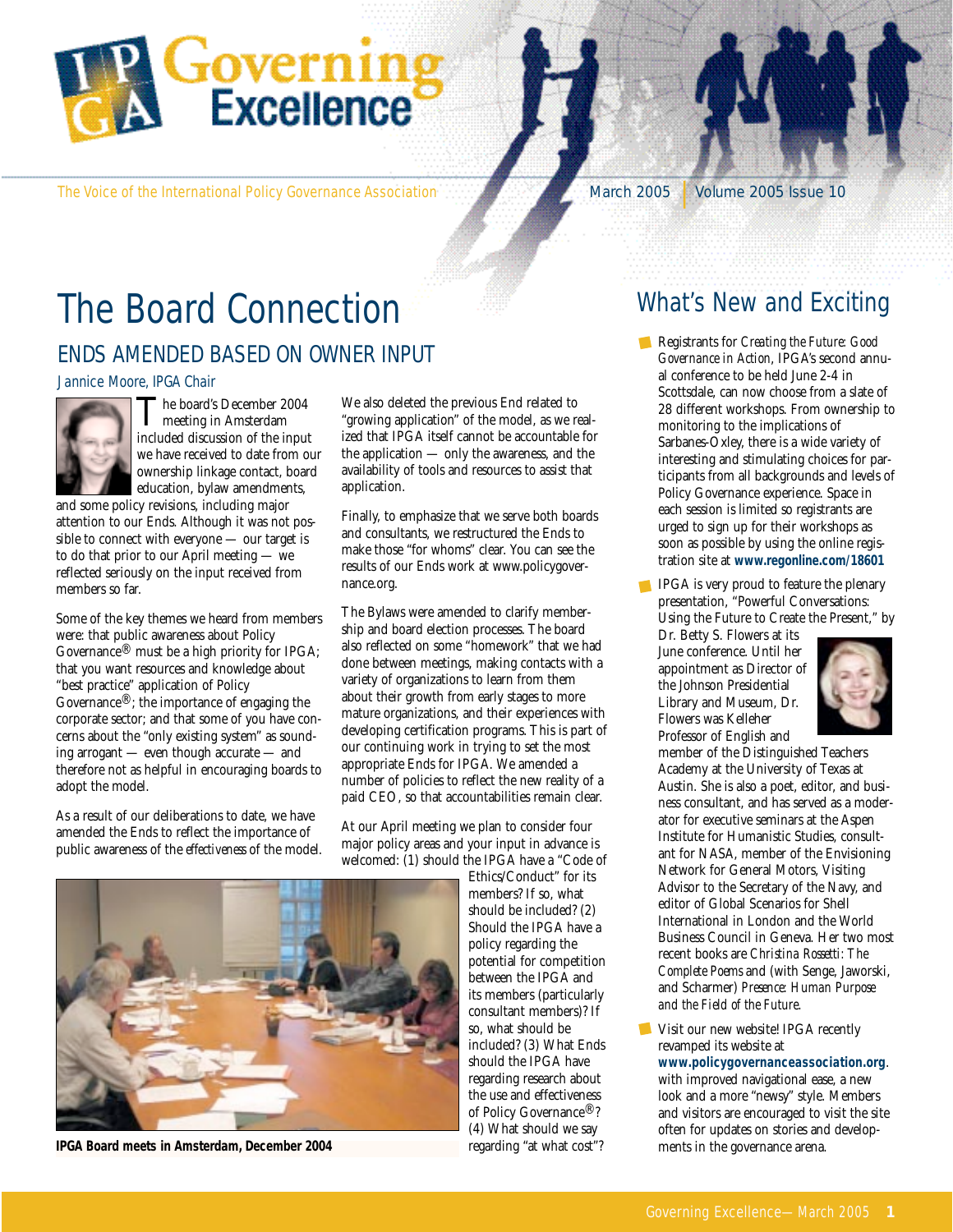

The Voice of the International Policy Governance Association March 2005 | Volume 2005 Issue 10

# The Board Connection

### ENDS AMENDED BASED ON OWNER INPUT

#### Jannice Moore, IPGA Chair



The board's December 2004 meeting in Amsterdam included discussion of the input we have received to date from our ownership linkage contact, board education, bylaw amendments,

and some policy revisions, including major attention to our Ends. Although it was not possible to connect with everyone — our target is to do that prior to our April meeting — we reflected seriously on the input received from members so far.

Some of the key themes we heard from members were: that public awareness about Policy Governance® must be a high priority for IPGA; that you want resources and knowledge about "best practice" application of Policy Governance®; the importance of engaging the corporate sector; and that some of you have concerns about the "only existing system" as sounding arrogant — even though accurate — and therefore not as helpful in encouraging boards to adopt the model.

As a result of our deliberations to date, we have amended the Ends to reflect the importance of public awareness of the *effectiveness* of the model. We also deleted the previous End related to "growing application" of the model, as we realized that IPGA itself cannot be accountable for the application — only the awareness, and the availability of tools and resources to assist that application.

Finally, to emphasize that we serve both boards and consultants, we restructured the Ends to make those "for whoms" clear. You can see the results of our Ends work at www.policygovernance.org.

The Bylaws were amended to clarify membership and board election processes. The board also reflected on some "homework" that we had done between meetings, making contacts with a variety of organizations to learn from them about their growth from early stages to more mature organizations, and their experiences with developing certification programs. This is part of our continuing work in trying to set the most appropriate Ends for IPGA. We amended a number of policies to reflect the new reality of a paid CEO, so that accountabilities remain clear.

At our April meeting we plan to consider four major policy areas and your input in advance is welcomed: (1) should the IPGA have a "Code of

Ethics/Conduct" for its members? If so, what should be included? (2) Should the IPGA have a policy regarding the potential for competition between the IPGA and its members (particularly consultant members)? If so, what should be included? (3) What Ends should the IPGA have regarding research about the use and effectiveness of Policy Governance®? (4) What should we say regarding "at what cost"?

## What's New and Exciting

- Registrants for *Creating the Future: Good Governance in Action*, IPGA's second annual conference to be held June 2-4 in Scottsdale, can now choose from a slate of 28 different workshops. From ownership to monitoring to the implications of Sarbanes-Oxley, there is a wide variety of interesting and stimulating choices for participants from all backgrounds and levels of Policy Governance experience. Space in each session is limited so registrants are urged to sign up for their workshops as soon as possible by using the online registration site at **www.regonline.com/18601**
- **IPGA** is very proud to feature the plenary presentation, "Powerful Conversations: Using the Future to Create the Present," by

Dr. Betty S. Flowers at its June conference. Until her appointment as Director of the Johnson Presidential Library and Museum, Dr. Flowers was Kelleher Professor of English and



member of the Distinguished Teachers Academy at the University of Texas at Austin. She is also a poet, editor, and business consultant, and has served as a moderator for executive seminars at the Aspen Institute for Humanistic Studies, consultant for NASA, member of the Envisioning Network for General Motors, Visiting Advisor to the Secretary of the Navy, and editor of Global Scenarios for Shell International in London and the World Business Council in Geneva. Her two most recent books are *Christina Rossetti: The Complete Poems* and (with Senge, Jaworski, and Scharmer) *Presence: Human Purpose and the Field of the Future*.

Visit our new website! IPGA recently revamped its website at **www.policygovernanceassociation.org**. with improved navigational ease, a new look and a more "newsy" style. Members and visitors are encouraged to visit the site often for updates on stories and develop-



**IPGA Board meets in Amsterdam, December 2004**

ments in the governance arena.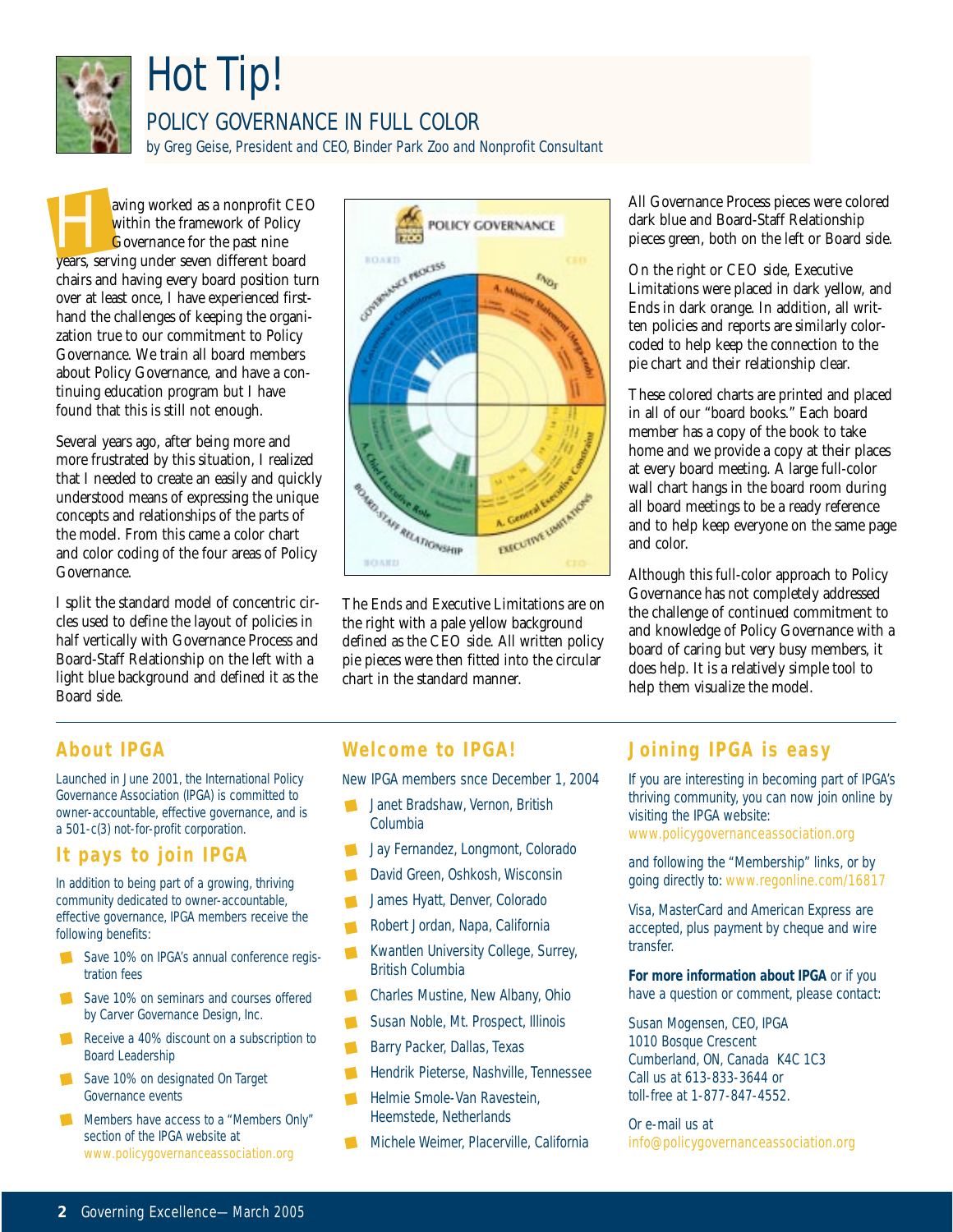

## Hot Tip!

### POLICY GOVERNANCE IN FULL COLOR

by Greg Geise, President and CEO, Binder Park Zoo and Nonprofit Consultant

within the framework of Policy<br>
within the framework of Policy<br>
Governance for the past nine<br>
years, serving under seven different board within the framework of Policy Governance for the past nine chairs and having every board position turn over at least once, I have experienced firsthand the challenges of keeping the organization true to our commitment to Policy Governance. We train all board members about Policy Governance, and have a continuing education program but I have found that this is still not enough.

Several years ago, after being more and more frustrated by this situation, I realized that I needed to create an easily and quickly understood means of expressing the unique concepts and relationships of the parts of the model. From this came a color chart and color coding of the four areas of Policy Governance.

I split the standard model of concentric circles used to define the layout of policies in half vertically with Governance Process and Board-Staff Relationship on the left with a light blue background and defined it as the Board side.



The Ends and Executive Limitations are on the right with a pale yellow background defined as the CEO side. All written policy pie pieces were then fitted into the circular chart in the standard manner.

All Governance Process pieces were colored dark blue and Board-Staff Relationship pieces green, both on the left or Board side.

On the right or CEO side, Executive Limitations were placed in dark yellow, and Ends in dark orange. In addition, all written policies and reports are similarly colorcoded to help keep the connection to the pie chart and their relationship clear.

These colored charts are printed and placed in all of our "board books." Each board member has a copy of the book to take home and we provide a copy at their places at every board meeting. A large full-color wall chart hangs in the board room during all board meetings to be a ready reference and to help keep everyone on the same page and color.

Although this full-color approach to Policy Governance has not completely addressed the challenge of continued commitment to and knowledge of Policy Governance with a board of caring but very busy members, it does help. It is a relatively simple tool to help them visualize the model.

### **About IPGA**

Launched in June 2001, the International Policy Governance Association (IPGA) is committed to owner-accountable, effective governance, and is a 501-c(3) not-for-profit corporation.

### **It pays to join IPGA**

In addition to being part of a growing, thriving community dedicated to owner-accountable, effective governance, IPGA members receive the following benefits:

- Save 10% on IPGA's annual conference registration fees
- Save 10% on seminars and courses offered by Carver Governance Design, Inc.
- Receive a 40% discount on a subscription to Board Leadership
- Save 10% on designated On Target Governance events
- Members have access to a "Members Only" section of the IPGA website at www.policygovernanceassociation.org

#### **Welcome to IPGA!**

New IPGA members snce December 1, 2004

- Janet Bradshaw, Vernon, British Columbia
- Jay Fernandez, Longmont, Colorado
- David Green, Oshkosh, Wisconsin
- James Hyatt, Denver, Colorado
- Robert Jordan, Napa, California
- $\blacksquare$ Kwantlen University College, Surrey, British Columbia
- Charles Mustine, New Albany, Ohio  $\blacksquare$
- Susan Noble, Mt. Prospect, Illinois
- Barry Packer, Dallas, Texas
- Hendrik Pieterse, Nashville, Tennessee
- Helmie Smole-Van Ravestein,  $\mathcal{L}$ Heemstede, Netherlands
- **Michele Weimer, Placerville, California**

### **Joining IPGA is easy**

If you are interesting in becoming part of IPGA's thriving community, you can now join online by visiting the IPGA website:

www.policygovernanceassociation.org

and following the "Membership" links, or by going directly to: www.regonline.com/16817

Visa, MasterCard and American Express are accepted, plus payment by cheque and wire transfer.

**For more information about IPGA** or if you have a question or comment, please contact:

Susan Mogensen, CEO, IPGA 1010 Bosque Crescent Cumberland, ON, Canada K4C 1C3 Call us at 613-833-3644 or toll-free at 1-877-847-4552.

Or e-mail us at info@policygovernanceassociation.org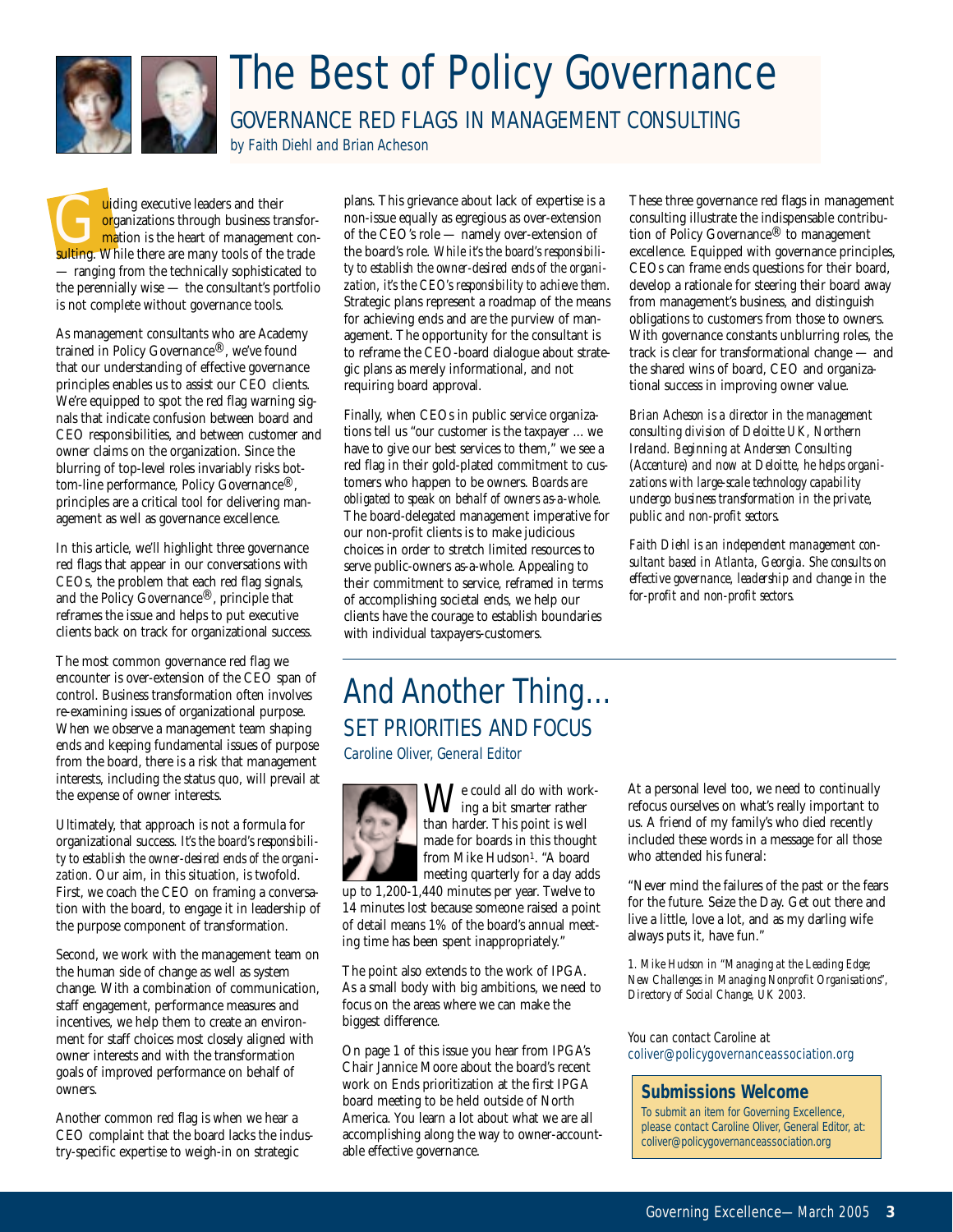

## The Best of Policy Governance

GOVERNANCE RED FLAGS IN MANAGEMENT CONSULTING

by Faith Diehl and Brian Acheson

uiding executive leaders and their<br>organizations through business transformation is the heart of management<br>sultime. While there are many tools of the organizations through business transformation is the heart of management consulting. While there are many tools of the trade — ranging from the technically sophisticated to the perennially wise — the consultant's portfolio is not complete without governance tools.

As management consultants who are Academy trained in Policy Governance®, we've found that our understanding of effective governance principles enables us to assist our CEO clients. We're equipped to spot the red flag warning signals that indicate confusion between board and CEO responsibilities, and between customer and owner claims on the organization. Since the blurring of top-level roles invariably risks bottom-line performance, Policy Governance®' principles are a critical tool for delivering management as well as governance excellence.

In this article, we'll highlight three governance red flags that appear in our conversations with CEOs, the problem that each red flag signals, and the Policy Governance®, principle that reframes the issue and helps to put executive clients back on track for organizational success.

The most common governance red flag we encounter is over-extension of the CEO span of control. Business transformation often involves re-examining issues of organizational purpose. When we observe a management team shaping ends and keeping fundamental issues of purpose from the board, there is a risk that management interests, including the status quo, will prevail at the expense of owner interests.

Ultimately, that approach is not a formula for organizational success. *It's the board's responsibility to establish the owner-desired ends of the organization*. Our aim, in this situation, is twofold. First, we coach the CEO on framing a conversation with the board, to engage it in leadership of the purpose component of transformation.

Second, we work with the management team on the human side of change as well as system change. With a combination of communication, staff engagement, performance measures and incentives, we help them to create an environment for staff choices most closely aligned with owner interests and with the transformation goals of improved performance on behalf of owners.

Another common red flag is when we hear a CEO complaint that the board lacks the industry-specific expertise to weigh-in on strategic

plans. This grievance about lack of expertise is a non-issue equally as egregious as over-extension of the CEO's role — namely over-extension of the board's role. *While it's the board's responsibility to establish the owner-desired ends of the organization, it's the CEO's responsibility to achieve them*. Strategic plans represent a roadmap of the means for achieving ends and are the purview of management. The opportunity for the consultant is to reframe the CEO-board dialogue about strategic plans as merely informational, and not requiring board approval.

Finally, when CEOs in public service organizations tell us "our customer is the taxpayer ... we have to give our best services to them," we see a red flag in their gold-plated commitment to customers who happen to be owners. *Boards are obligated to speak on behalf of owners as-a-whole*. The board-delegated management imperative for our non-profit clients is to make judicious choices in order to stretch limited resources to serve public-owners as-a-whole. Appealing to their commitment to service, reframed in terms of accomplishing societal ends, we help our clients have the courage to establish boundaries with individual taxpayers-customers.

These three governance red flags in management consulting illustrate the indispensable contribution of Policy Governance® to management excellence. Equipped with governance principles, CEOs can frame ends questions for their board, develop a rationale for steering their board away from management's business, and distinguish obligations to customers from those to owners. With governance constants unblurring roles, the track is clear for transformational change — and the shared wins of board, CEO and organizational success in improving owner value.

*Brian Acheson is a director in the management consulting division of Deloitte UK, Northern Ireland. Beginning at Andersen Consulting (Accenture) and now at Deloitte, he helps organizations with large-scale technology capability undergo business transformation in the private, public and non-profit sectors.*

*Faith Diehl is an independent management consultant based in Atlanta, Georgia. She consults on effective governance, leadership and change in the for-profit and non-profit sectors.*

## And Another Thing… SET PRIORITIES AND FOCUS

Caroline Oliver, General Editor



 $\mathbf{W}^\text{e could all do with work}$ than harder. This point is well made for boards in this thought from Mike Hudson<sup>1</sup>. "A board meeting quarterly for a day adds

up to 1,200-1,440 minutes per year. Twelve to 14 minutes lost because someone raised a point of detail means 1% of the board's annual meeting time has been spent inappropriately."

The point also extends to the work of IPGA. As a small body with big ambitions, we need to focus on the areas where we can make the biggest difference.

On page 1 of this issue you hear from IPGA's Chair Jannice Moore about the board's recent work on Ends prioritization at the first IPGA board meeting to be held outside of North America. You learn a lot about what we are all accomplishing along the way to owner-accountable effective governance.

At a personal level too, we need to continually refocus ourselves on what's really important to us. A friend of my family's who died recently included these words in a message for all those who attended his funeral:

"Never mind the failures of the past or the fears for the future. Seize the Day. Get out there and live a little, love a lot, and as my darling wife always puts it, have fun."

*1. Mike Hudson in "Managing at the Leading Edge; New Challenges in Managing Nonprofit Organisations", Directory of Social Change, UK 2003.*

You can contact Caroline at coliver@policygovernanceassociation.org

#### **Submissions Welcome**

To submit an item for Governing Excellence, please contact Caroline Oliver, General Editor, at: coliver@policygovernanceassociation.org